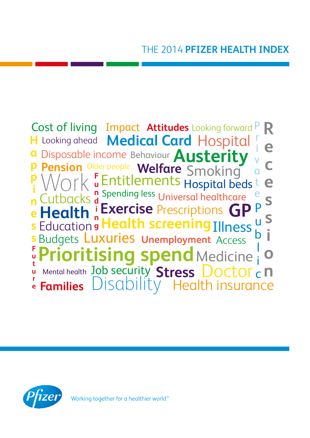

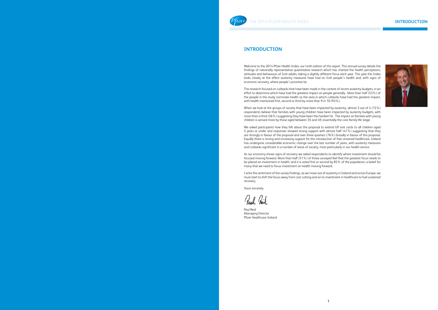### **INTRODUCTION**



# **INE 2014 PFIZER HEALTH INDEX**

### **INTRODUCTION**

Welcome to the 2014 Pfizer Health Index, our ninth edition of this report. This annual survey details the findings of nationally representative quantitative research which has charted the health perceptions, attitudes and behaviours of Irish adults, taking a slightly different focus each year. This year the Index looks closely at the effect austerity measures have had on Irish people's health and, with signs of economic recovery, where people's priorities lie.

When we look at the groups of society that have been impacted by austerity, almost 3 out of 4 (72%) respondents believe that families with young children have been impacted by austerity budgets, with more than a third (36%) suggesting they have been the hardest hit. The impact on families with young children is sensed more by those aged between 35 and 49, essentially the core family life stage.

The research focused on cutbacks that have been made in the context of recent austerity budgets, in an effort to determine which have had the greatest impact on people generally. More than half (53%) of the people in the study nominate health as the area in which cutbacks have had the greatest impact, with health mentioned first, second or third by more than 9 in 10 (93%).

We asked participants how they felt about the proposal to extend GP visit cards to all children aged 5 years or under and responses showed strong support with almost half (47%) suggesting that they are strongly in favour of the proposal and over three quarters (76%) broadly in favour of this proposal. Equally there is strong and increasing support for the introduction of free universal healthcare. Ireland has undergone considerable economic change over the last number of years, with austerity measures and cutbacks significant in a number of areas of society, most particularly in our health service.

As our economy shows signs of recovery we asked respondents to identify where investment should be focused moving forward. More than half (51%) of those surveyed feel that the greatest focus needs to be placed on investment in health, and it is voted first or second by 85% of the population; a belief for many that we need to focus investment on health moving forward.

I echo the sentiment of the survey findings, as we move out of austerity in Ireland and across Europe, we must start to shift the focus away from cost cutting and on to investment in healthcare to fuel sustained recovery.

Yours sincerely,

Paul Reid Managing Director Pfizer Healthcare Ireland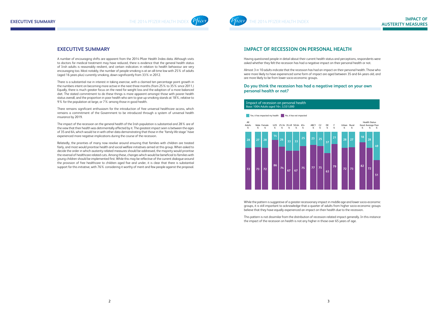# **IMPACT OF RECESSION ON PERSONAL HEALTH**

Having questioned people in detail about their current health status and perceptions, respondents were asked whether they felt the recession has had a negative impact on their personal health or not.

Almost 3 in 10 adults indicate that the recession has had an impact on their personal health. Those who were more likely to have experienced some form of impact are aged between 35 and 64 years old, and are more likely to be from lower socio-economic groups.

### **Do you think the recession has had a negative impact on your own personal health or not?**

While the pattern is suggestive of a greater recessionary impact in middle age and lower socio-economic groups, it is still important to acknowledge that a quarter of adults from higher socio-economic groups believe that they have equally experienced an impact on their health due to the recession.

This pattern is not dissimilar from the distribution of recession-related impact generally. In this instance the impact of the recession on health is not any higher in those over 65 years of age.

## **EXECUTIVE SUMMARY**

A number of encouraging shifts are apparent from the 2014 Pfizer Health Index data. Although visits to doctors for medical treatment may have reduced, there is evidence that the general health status of Irish adults is reasonably resilient, and certain indicators in relation to health behaviour are very encouraging too. Most notably, the number of people smoking is at an all-time low with 25% of adults (aged 16 years plus) currently smoking, down significantly from 33% in 2012.

There is a substantial rise in interest in taking exercise, with a claimed ten percentage point growth in the numbers intent on becoming more active in the next three months (from 25% to 35% since 2011.) Equally, there is much greater focus on the need for weight loss and the adoption of a more balanced diet. The stated commitment to do these things is more apparent amongst those with poorer health status overall, and the proportion in poor health who aim to give up smoking stands at 18%, relative to 9% for the population at large, or 7% among those in good health.

There remains significant enthusiasm for the introduction of free universal healthcare access, which remains a commitment of the Government to be introduced through a system of universal health insurance by 2019.

The impact of the recession on the general health of the Irish population is substantial and 28% are of the view that their health was detrimentally affected by it. The greatest impact seen is between the ages of 35 and 64, which would tie in with other data demonstrating that those in the 'family life stage' have experienced more negative implications during the course of the recession.

Relatedly, the priorities of many now revolve around ensuring that families with children are treated fairly, and most would prioritise health and social welfare initiatives aimed at this group. When asked to decide the order in which austerity-related measures should be addressed, the majority would prioritise the reversal of healthcare related cuts. Among these, changes which would be beneficial to families with young children should be implemented first. While this may be reflective of the current dialogue around the provision of free healthcare to children aged five and under, it is clear that there is substantial support for this initiative, with 76% considering it worthy of merit and few people against the proposal.

#### Impact of recession on personal health Base: 1004 Adults aged 16+, 3,551,000

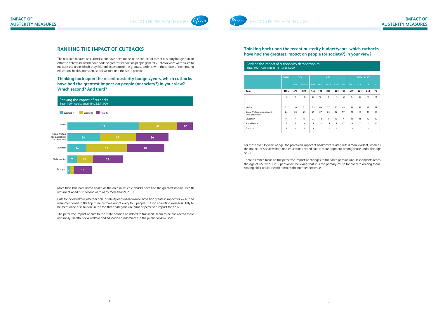

### **Thinking back upon the recent austerity budget/years, which cutbacks have had the greatest impact on people (or society?) in your view?**

For those over 35 years of age, the perceived impact of healthcare related cuts is more evident, whereas the impact of social welfare and education-related cuts is more apparent among those under the age of 25.

There is limited focus on the perceived impact of changes to the State pension until respondents reach the age of 65, with 1 in 6 pensioners believing that it is the primary cause for concern among them. Among older adults, health remains the number one issue.

# **RANKING THE IMPACT OF CUTBACKS**

The research focused on cutbacks that have been made in the context of recent austerity budgets, in an effort to determine which have had the greatest impact on people generally. Interviewees were asked to indicate the areas which they felt had experienced the greatest decline, with the choice of nominating education, health, transport, social welfare and the State pension.

### **Thinking back upon the recent austerity budget/years, which cutbacks have had the greatest impact on people (or society?) in your view? Which second? And third?**

More than half nominated health as the area in which cutbacks have had the greatest impact. Health was mentioned first, second or third by more than 9 in 10.

Cuts to social welfare, whether dole, disability or child allowance, have had greatest impact for 24%, and were mentioned in the top three by three out of every four people. Cuts to education were less likely to be mentioned first, but are in the top three categories in terms of perceived impact for 72%.

The perceived impact of cuts to the State pension or indeed to transport, seem to be considered more minimally. Health, social welfare and education predominate in the public consciousness.



|                                                       | Base: 1004 Adults aged 16+, 3,551,000 |      |              |            |                |       |                     |       |      |                |                |    |  |
|-------------------------------------------------------|---------------------------------------|------|--------------|------------|----------------|-------|---------------------|-------|------|----------------|----------------|----|--|
|                                                       |                                       |      |              |            |                |       |                     |       |      |                |                |    |  |
|                                                       | <b>TOTAL</b>                          |      | <b>SEX</b>   | <b>AGE</b> |                |       | <b>SOCIAL CLASS</b> |       |      |                |                |    |  |
|                                                       |                                       | Male | Female       | <b>U25</b> | 25-34          | 35-49 | $50 - 64$           | $65+$ | ABC1 | C <sub>2</sub> | <b>DE</b>      | F. |  |
| Base:                                                 | 1004                                  | 475  | 529          | 145        | 190            | 285   | 229                 | 155   | 444  | 221            | 263            | 76 |  |
|                                                       | %                                     | %    | %            | %          | %              | %     | %                   | %     | %    | %              | %              | %  |  |
|                                                       |                                       |      |              |            |                |       |                     |       |      |                |                |    |  |
| Health                                                | 53                                    | 54   | 52           | 35         | 49             | 57    | 60                  | 61    | 52   | 58             | 47             | 67 |  |
| Social Welfare (dole, disability,<br>child allowance) | 24                                    | 23   | 25           | 29         | 27             | 23    | 22                  | 17    | 20   | 19             | 34             | 13 |  |
| Education                                             | 14                                    | 14   | 15           | 27         | 18             | 14    | 10                  | 4     | 18   | 15             | 10             | 10 |  |
| <b>State Pension</b>                                  | 7                                     | 7    | 8            | 5          | 5              | 6     | 5                   | 17    | 6    | 7              | 7              | 10 |  |
| Transport                                             | $\overline{2}$                        | 3    | $\mathbf{1}$ | 4          | $\overline{2}$ | 1     | $\overline{2}$      | 1     | 3    | 1              | $\overline{2}$ | ٠  |  |

#### Ranking the impact of cutbacks by demographics Base: 1004 Adults aged 16+, 3,551,000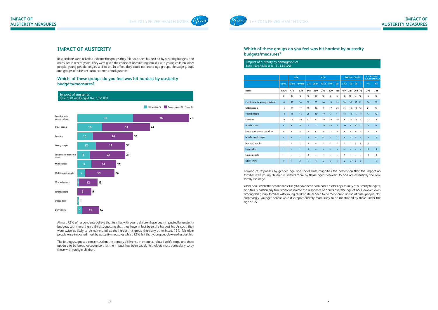THE 2014 PFIZER HEALTH INDEX



### **Which of these groups do you feel was hit hardest by austerity budgets/measures?**

#### Impact of austerity by dem Base: 1004 Adults aged 16+, 3,551,000

| mpace or adsecricy by acritographics<br>Base: 1004 Adults aged 16+, 3,551,000 |                         |                |                |                         |                |                |                         |                |                |                     |                |                |                                          |                            |
|-------------------------------------------------------------------------------|-------------------------|----------------|----------------|-------------------------|----------------|----------------|-------------------------|----------------|----------------|---------------------|----------------|----------------|------------------------------------------|----------------------------|
|                                                                               |                         |                |                |                         |                |                |                         |                |                |                     |                |                |                                          |                            |
|                                                                               |                         |                | <b>SEX</b>     |                         |                | <b>AGE</b>     |                         |                |                | <b>SOCIAL CLASS</b> |                |                | <b>RECESSION</b><br><b>HEALTH IMPACT</b> |                            |
|                                                                               | <b>Total</b>            |                | Male Female    |                         | U25 25-34      | 35-49          | 50-64                   | $65+$          | ABC1           | C2                  | DE F           |                | Yes                                      | <b>No</b>                  |
| Base:                                                                         | 1,004                   | 475            | 529            | 145                     | 190            | 285            | 229                     | 155            | 444            | 221                 | 263 76         |                | 276                                      | 728                        |
|                                                                               | $\%$                    | %              | $\%$           | $\%$                    | $\%$           | $\%$           | %                       | $\%$           | %              | %                   | $\%$           | $\%$           | $\%$                                     | $\%$                       |
| Families with young children                                                  | 36                      | 38             | 34             | 32                      | 39             | 44             | 28                      | 33             | 34             | 36                  | 37             | 41             | 34                                       | 37                         |
| Older people                                                                  | 16                      | 14             | 17             | 15                      | 13             | 9              | 17                      | 29             | 15             | 15                  | 18             | 12             | 21                                       | 13                         |
| Young people                                                                  | 12                      | 11             | 14             | 20                      | 16             | 10             | $\overline{7}$          | 11             | 12             | 12                  | 14             | $\overline{7}$ | 13                                       | 12                         |
| <b>Families</b>                                                               | 10                      | 10             | 10             | 12                      | 9              | 10             | 10                      | 10             | 8              | 12                  | 11             | 9              | 12                                       | 9                          |
| Middle class                                                                  | 9                       | 9              | 9              | $\overline{4}$          | $\overline{7}$ | 10             | 14                      | 8              | 13             | 9                   | $\overline{3}$ | 11             | 6                                        | 10                         |
| Lower socio-economic class                                                    | 8                       | $\overline{7}$ | 8              | $\overline{7}$          | 6              | 9              | 11                      | 4              | 8              | 8                   | 8              | 6              | $\overline{7}$                           | 8                          |
| Middle aged people                                                            | 5                       | 6              | $\overline{3}$ | $\mathbf{1}$            | 5              | 5              | $\overline{7}$          | $\overline{2}$ | 5              | $\overline{3}$      | 5              | $\overline{3}$ | 5                                        | $\mathcal{L}_{\mathbf{I}}$ |
| Married people                                                                | $\mathbf{1}$            | 1              | $\overline{2}$ | $\mathbf{1}$            | $\overline{a}$ | $\overline{2}$ | $\overline{2}$          | $\overline{2}$ | $\mathbf{1}$   | $\mathbf{1}$        | $\overline{2}$ | $\overline{2}$ | $\overline{2}$                           | 1                          |
| <b>Upper class</b>                                                            | $\star$                 | $\star$        | $\star$        | $\mathbf{1}$            | -              |                | $\star$                 |                | $\star$        |                     |                |                | $\pmb{0}$                                | $\mathbf 0$                |
| Single people                                                                 | $\star$                 | $\overline{a}$ | $\mathbf{1}$   | $\overline{\mathbf{3}}$ | ۳              | $\star$        | ۰                       |                | 1              | $\star$             |                |                | 1                                        | $\mathbf 0$                |
| Don't know                                                                    | $\overline{\mathbf{3}}$ | 4              | $\overline{2}$ | $\overline{4}$          | $\overline{4}$ | $\overline{2}$ | $\overline{\mathbf{3}}$ | $\star$        | $\overline{2}$ | $\overline{3}$      | $\overline{2}$ | 9              | -                                        | $\overline{4}$             |

Looking at responses by gender, age and social class magnifies the perception that the impact on families with young children is sensed more by those aged between 35 and 49, essentially the core family life stage.

Older adults were the second most likely to have been nominated as the key casualty of austerity budgets, and this is particularly true when we isolate the responses of adults over the age of 65. However, even among this group, families with young children still tended to be mentioned ahead of older people. Not surprisingly, younger people were disproportionately more likely to be mentioned by those under the age of 25.

## **IMPACT OF AUSTERITY**

Respondents were asked to indicate the groups they felt have been hardest hit by austerity budgets and measures in recent years. They were given the choice of nominating families with young children, older people, young people, singles and so on. In effect, they could nominate age groups, life stage groups and groups of different socio-economic backgrounds.

### **Which, of these groups do you feel was hit hardest by austerity budgets/measures?**

Almost 72% of respondents believe that families with young children have been impacted by austerity budgets, with more than a third suggesting that they have in fact been the hardest hit. As such, they were twice as likely to be nominated as the hardest hit group than any other listed. 16% felt older people were impacted most by austerity measures whilst 12% felt that young people were hardest hit.

The findings suggest a consensus that the primary difference in impact is related to life stage and there appears to be broad acceptance that the impact has been widely felt, albeit most particularly so by those with younger children.

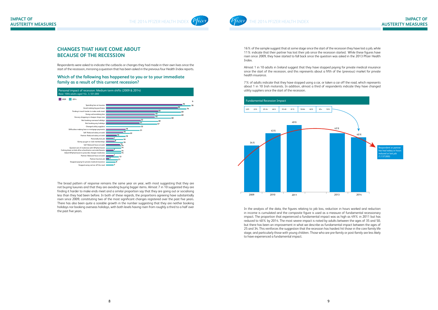THE 2014 PFIZER HEALTH INDEX



16% of the sample suggest that at some stage since the start of the recession they have lost a job, while 11% indicate that their partner has lost their job since the recession started. While these figures have risen since 2009, they have started to fall back since the question was asked in the 2013 Pfizer Health Index.

Almost 1 in 10 adults in Ireland suggest that they have stopped paying for private medical insurance since the start of the recession, and this represents about a fifth of the (previous) market for private health insurance.

7% of adults indicate that they have stopped using a car, or taken a car off the road, which represents about 1 in 10 Irish motorists. In addition, almost a third of respondents indicate they have changed utility suppliers since the start of the recession.

In the analysis of the data, the figures relating to job loss, reduction in hours worked and reduction in income is cumulated and the composite figure is used as a measure of fundamental recessionary impact. The proportion that experienced a fundamental impact was as high as 49% in 2011 but has reduced to 40% by 2014. The most severe impact is noted by adults between the ages of 35 and 50, but there has been an improvement in what we describe as fundamental impact between the ages of 25 and 34. This reinforces the suggestion that the recession has hardest hit those in the core family life stage, and particularly those with young children. Those who are pre-family or post-family are less likely to have experienced a fundamental impact.

# **CHANGES THAT HAVE COME ABOUT BECAUSE OF THE RECESSION**

Respondents were asked to indicate the cutbacks or changes they had made in their own lives since the start of the recession, mirroring a question that has been asked in the previous four Health Index reports.

#### **Which of the following has happened to you or to your immediate family as a result of this current recession?**



The broad pattern of response remains the same year on year, with most suggesting that they are not buying luxuries and that they are avoiding buying bigger items. Almost 7 in 10 suggested they are finding it harder to make ends meet and a similar proportion say that they are going out or socialising less than they had been before. In both of these regards, the proportions agreeing have substantially risen since 2009, constituting two of the most significant changes registered over the past five years. There has also been quite a sizeable growth in the number suggesting that they are neither booking holidays nor booking overseas holidays, with both levels having risen from roughly a third to a half over the past five years.

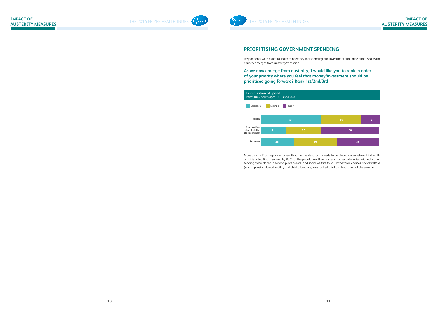



# **PRIORITISING GOVERNMENT SPENDING**

Respondents were asked to indicate how they feel spending and investment should be prioritised as the country emerges from austerity/recession.

**As we now emerge from austerity, I would like you to rank in order of your priority where you feel that money/investment should be prioritised going forward? Rank 1st/2nd/3rd**



More than half of respondents feel that the greatest focus needs to be placed on investment in health, and it is voted first or second by 85% of the population. It surpasses all other categories, with education tending to be placed in second place overall, and social welfare third. Of the three choices, social welfare, (encompassing dole, disability and child allowance) was ranked third by almost half of the sample.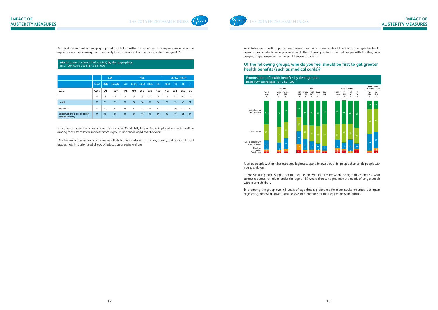

As a follow-on question, participants were asked which groups should be first to get greater health benefits. Respondents were presented with the following options: married people with families, older people, single people with young children, and students.

### **Of the following groups, who do you feel should be first to get greater health benefits (such as medical cards)?**





Married people with families attracted highest support, followed by older people then single people with young children.

There is much greater support for married people with families between the ages of 25 and 64, while almost a quarter of adults under the age of 35 would choose to prioritise the needs of single people with young children.

It is among the group over 65 years of age that a preference for older adults emerges, but again, registering somewhat lower than the level of preference for married people with families.

Results differ somewhat by age group and social class, with a focus on health more pronounced over the age of 35 and being relegated to second place, after education, by those under the age of 25.

| Prioritisation of spend (first choice) by demographics |
|--------------------------------------------------------|
| Base: 1004 Adults aged 16+, 3,551,000                  |

|                                                       |              |      | <b>SEX</b> | <b>AGE</b> |       |       |       |       | <b>SOCIAL CLASS</b> |                |           |    |
|-------------------------------------------------------|--------------|------|------------|------------|-------|-------|-------|-------|---------------------|----------------|-----------|----|
|                                                       | <b>Total</b> | Male | Female     | <b>U25</b> | 25-34 | 35-49 | 50-64 | $65+$ | ABC1                | C <sub>2</sub> | <b>DE</b> | F  |
| Base:                                                 | 1,004        | 475  | 529        | 145        | 190   | 285   | 229   | 155   | 444                 | 221            | 263       | 76 |
|                                                       | %            | $\%$ | %          | %          | $\%$  | $\%$  | $\%$  | %     | %                   | %              | %         | %  |
| Health                                                | 51           | 51   | 51         | 37         | 50    | 54    | 55    | 54    | 52                  | 53             | 46        | 61 |
| Education                                             | 28           | 29   | 27         | 44         | 27    | 27    | 23    | 21    | 33                  | 28             | 23        | 19 |
| Social welfare (dole, disability,<br>child allowance) | 21           | 20   | 22         | 20         | 23    | 19    | 21    | 25    | 16                  | 19             | 31        | 20 |

Education is prioritised only among those under 25. Slightly higher focus is placed on social welfare among those from lower socio-economic groups and those aged over 65 years.

Middle class and younger adults are more likely to favour education as a key priority, but across all social grades, health is prioritised ahead of education or social welfare.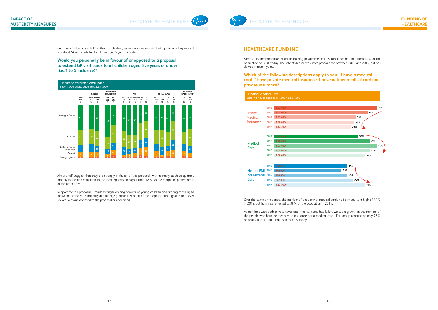

THE 2014 PFIZER HEALTH INDEX



# **HEALTHCARE FUNDING**

Since 2010 the proportion of adults holding private medical insurance has declined from 44% of the population to 33% today. The rate of decline was more pronounced between 2010 and 2012, but has slowed in recent years.

**Which of the following descriptions apply to you - I have a medical card, I have private medical insurance, I have neither medical card nor private insurance?**



| <b>Funding Medical Care</b><br>Base: All Adults aged 16+, 1,003 / 3,551,000 |      |           |  |  |  |  |  |  |  |
|-----------------------------------------------------------------------------|------|-----------|--|--|--|--|--|--|--|
|                                                                             |      |           |  |  |  |  |  |  |  |
|                                                                             | 2010 | 1,539,000 |  |  |  |  |  |  |  |
| Private                                                                     | 2011 | 1,419,000 |  |  |  |  |  |  |  |
| Medical                                                                     | 2012 | 1,250,000 |  |  |  |  |  |  |  |
| Insurance                                                                   | 2013 | 1,220,000 |  |  |  |  |  |  |  |
|                                                                             | 2014 | 1,175,000 |  |  |  |  |  |  |  |
|                                                                             |      |           |  |  |  |  |  |  |  |
|                                                                             | 2010 | 1,255,000 |  |  |  |  |  |  |  |
| <b>Medical</b>                                                              | 2011 | 1,470,000 |  |  |  |  |  |  |  |
| Card                                                                        | 2012 | 1,573,000 |  |  |  |  |  |  |  |
|                                                                             | 2013 | 1.474.000 |  |  |  |  |  |  |  |
|                                                                             | 2014 | 1,376,000 |  |  |  |  |  |  |  |
|                                                                             |      |           |  |  |  |  |  |  |  |
|                                                                             | 2010 | 868,000   |  |  |  |  |  |  |  |
| <b>Neither PMI</b>                                                          | 2011 | 842,000   |  |  |  |  |  |  |  |
| nor Medical                                                                 | 2012 | 968,000   |  |  |  |  |  |  |  |
| Card                                                                        | 2013 | 947,000   |  |  |  |  |  |  |  |
|                                                                             | 2014 | 1,105,000 |  |  |  |  |  |  |  |

Over the same time period, the number of people with medical cards had climbed to a high of 44% in 2012, but has since retracted to 39% of the population in 2014.

As numbers with both private cover and medical cards has fallen, we see a growth in the number of the people who have neither private insurance nor a medical card. This group constituted only 23% of adults in 2011 but it has risen to 31% today.

Continuing in the context of families and children, respondents were asked their opinion on the proposal to extend GP visit cards to all children aged 5 years or under.

### **Would you personally be in favour of or opposed to a proposal to extend GP visit cards to all children aged five years or under (i.e.:1 to 5 inclusive)?**



Almost half suggest that they are strongly in favour of this proposal, with as many as three quarters broadly in favour. Opposition to the idea registers no higher than 12%, so the margin of preference is of the order of 6:1.

Support for the proposal is much stronger among parents of young children and among those aged between 25 and 50. A majority at each age group is in support of the proposal, although a third of over 65 year olds are opposed to the proposal or undecided.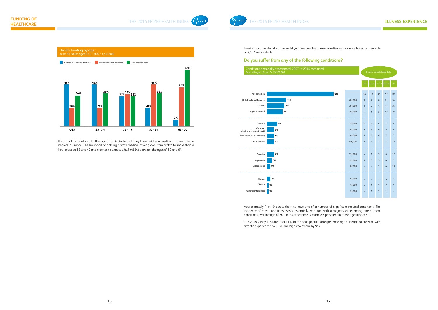

Looking at cumulated data over eight years we are able to examine disease incidence based on a sample of 8,174 respondents.

#### **Do you suffer from any of the following conditions?**

Approximately 4 in 10 adults claim to have one of a number of significant medical conditions. The incidence of most conditions rises substantially with age, with a majority experiencing one or more conditions over the age of 50. Illness experience is much less prevalent in those aged under 50.

The 2014 survey illustrates that 11% of the adult population experience high or low blood pressure, with arthritis experienced by 10% and high cholesterol by 9%.

Almost half of adults up to the age of 35 indicate that they have neither a medical card nor private medical insurance. The likelihood of holding private medical cover grows from a fifth to more than a third between 35 and 49 and extends to almost a half (46%) between the ages of 50 and 64.



Conditions personally experienced: 2007 to 2014 combined Base: All Aged 16+, 8,174 / 3,551,000

|     |         | 8 years consolidated data |                |                            |                |                            |  |  |  |  |
|-----|---------|---------------------------|----------------|----------------------------|----------------|----------------------------|--|--|--|--|
|     |         | <b>U25</b>                | $25 - 34$      | 35-49                      | $50 - 64$      | $65+$                      |  |  |  |  |
| 38% |         | 16                        | 19             | 30                         | 57             | 80                         |  |  |  |  |
|     | 402,000 | $\overline{1}$            | $\overline{2}$ | $6\,$                      | 21             | 34                         |  |  |  |  |
|     | 362,000 | $\overline{1}$            | $\overline{2}$ | 4                          | 17             | 36                         |  |  |  |  |
|     | 306,000 | ÷                         | 1              | 6                          | 17             | 22                         |  |  |  |  |
|     |         |                           |                |                            |                |                            |  |  |  |  |
|     | 210,000 | 9                         | 6              | 5                          | 5              | 4                          |  |  |  |  |
|     | 143,000 | 3                         | 3              | $\mathcal{L}_{\mathrm{I}}$ | 5              | $\mathcal{L}_{\mathrm{I}}$ |  |  |  |  |
|     | 144,000 | $\overline{1}$            | $\overline{2}$ | 4                          | $\overline{7}$ | $\overline{7}$             |  |  |  |  |
|     | 146,000 | ×                         | 1              | $\overline{2}$             | $\overline{7}$ | 15                         |  |  |  |  |
|     |         |                           |                |                            |                |                            |  |  |  |  |
|     | 139,000 | ÷                         | 1              | 3                          | 6              | 12                         |  |  |  |  |
|     | 122,000 | $\overline{1}$            | 3              | 5                          | 4              | $\overline{\mathbf{3}}$    |  |  |  |  |
|     | 87,000  | ×                         | $\star$        | $\overline{1}$             | 4              | 10                         |  |  |  |  |
|     |         |                           |                |                            |                |                            |  |  |  |  |
|     | 66,000  |                           | x              | 1                          | 3              | 5                          |  |  |  |  |
|     | 46,000  | x                         | 1              | 1                          | $\overline{2}$ | $\overline{1}$             |  |  |  |  |
|     | 20,000  |                           | 1              | 1                          | 1              |                            |  |  |  |  |

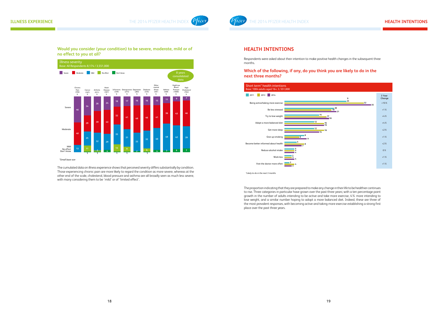

## **HEALTH INTENTIONS**

Respondents were asked about their intention to make positive health changes in the subsequent three months.

**Which of the following, if any, do you think you are likely to do in the next three months?**

The proportion indicating that they are prepared to make any change in their life to be healthier continues to rise. Three categories in particular have grown over the past three years; with a ten percentage point growth in the number of adults intending to be active and take more exercise, 4% more intending to lose weight, and a similar number hoping to adopt a more balanced diet. Indeed, these are three of the most prevalent responses, with becoming active and taking more exercise establishing a strong first place over the past three years.

### **Would you consider (your condition) to be severe, moderate, mild or of no effect to you at all?**



*\*Small base size*

The cumulated data on illness experience shows that perceived severity differs substantially by condition. Those experiencing chronic pain are more likely to regard the condition as more severe, whereas at the other end of the scale, cholesterol, blood pressure and asthma are all broadly seen as much less severe, with many considering them to be 'mild' or of 'limited effect'.



*\*Likely to do in the next 3 months*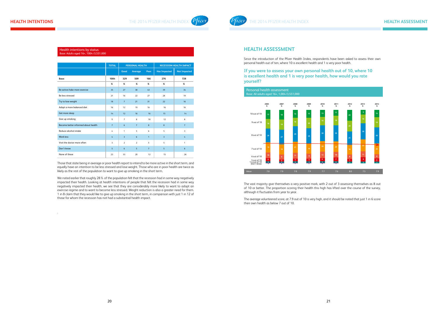

### **HEALTH ASSESSMENT**

Since the introduction of the Pfizer Health Index, respondents have been asked to assess their own personal health out of ten, where 10 is excellent health and 1 is very poor health.

**If you were to assess your own personal health out of 10, where 10 is excellent health and 1 is very poor health, how would you rate yourself?**

The vast majority give themselves a very positive mark, with 2 out of 3 assessing themselves as 8 out of 10 or better. The proportion scoring their health this high has lifted over the course of the survey, although it fluctuates from year to year.

The average volunteered score, at 7.9 out of 10 is very high, and it should be noted that just 1 in 6 score their own health as below 7 out of 10.

Those that state being in average or poor health report to intend to be more active in the short term, and equally have an intention to be less stressed and lose weight. Those who are in poor health are twice as likely as the rest of the population to want to give up smoking in the short term.

We noted earlier that roughly 28% of the population felt that the recession had in some way negatively impacted their health. Looking at health intentions of people that felt the recession had in some way negatively impacted their health, we see that they are considerably more likely to want to adopt an exercise regime and to want to become less stressed. Weight reduction is also a greater need for them. 1 in 8 claim that they would like to give up smoking in the short term, in comparison with just 1 in 12 of those for whom the recession has not had a substantial health impact.

.

 $\mathbf{r}$ 

|                                     | <b>TOTAL</b>   | <b>PERSONAL HEALTH</b> |                |                |                     | <b>RECESSION HEALTH IMPACT</b> |
|-------------------------------------|----------------|------------------------|----------------|----------------|---------------------|--------------------------------|
|                                     |                | Good                   | Average        | Poor           | <b>Has Impacted</b> | <b>Not Impacted</b>            |
| Base:                               | 1004           | 329                    | 509            | 166            | 276                 | 728                            |
|                                     | %              | %                      | $\%$           | $\%$           | $\%$                | $\%$                           |
| Be active/take more exercise        | 35             | 27                     | 38             | 43             | 39                  | 34                             |
| Be less stressed                    | 21             | 16                     | 22             | 27             | 28                  | 19                             |
| Try to lose weight                  | 18             | $\overline{7}$         | 21             | 31             | 22                  | 16                             |
| Adopt a more balanced diet          | 16             | 12                     | 19             | 16             | 16                  | 16                             |
| Get more sleep                      | 14             | 12                     | 16             | 16             | 15                  | 14                             |
| Give up smoking                     | 9              | $\overline{7}$         | 8              | 18             | 12                  | 8                              |
| Become better informed about health | $\overline{7}$ | 6                      | $\overline{7}$ | 8              | $\bf 8$             | $\overline{7}$                 |
| Reduce alcohol intake               | 4              | $\mathbf{1}$           | 5              | 6              | 5                   | 3                              |
| <b>Work less</b>                    | 4              | $\overline{3}$         | 6              | $\mathbf{1}$   | $\overline{3}$      | $\overline{4}$                 |
| Visit the doctor more often         | 3              | $\overline{2}$         | $\overline{2}$ | 5              | 5                   | $\mathbf{1}$                   |
| Don't know                          | 5              | 6                      | 5              | $\overline{7}$ | 5                   | 6                              |
| None of these                       | 23             | 33                     | 20             | 12             | 15                  | 26                             |

#### Health intentions by status Base: Adults aged 16+, 1004 /3,551,000

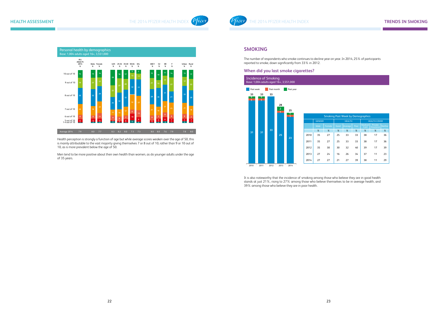

Health perception is strongly a function of age but while average scores weaken over the age of 50, this is mainly attributable to the vast majority giving themselves 7 or 8 out of 10, rather than 9 or 10 out of 10, as is more prevalent below the age of 50.

Men tend to be more positive about their own health than women, as do younger adults under the age of 35 years.



## **SMOKING**

The number of respondents who smoke continues to decline year on year. In 2014, 25% of participants reported to smoke, down significantly from 33% in 2012.

#### **When did you last smoke cigarettes?**

It is also noteworthy that the incidence of smoking among those who believe they are in good health stands at just 21%, rising to 27% among those who believe themselves to be in average health, and 39% among those who believe they are in poor health.

| imoking Past Week by Demographics |      |               |      |                     |                      |                |  |  |  |  |  |
|-----------------------------------|------|---------------|------|---------------------|----------------------|----------------|--|--|--|--|--|
|                                   |      | <b>HEALTH</b> |      | <b>HEALTH COVER</b> |                      |                |  |  |  |  |  |
| Female                            | Good | Average       | Poor | Medical<br>Card     | Private<br>Insurance | <b>Neither</b> |  |  |  |  |  |
| %                                 | %    | %             | %    | %                   | %                    | %              |  |  |  |  |  |
| 27                                | 25   | 33            | 33   | 38                  | 17                   | 36             |  |  |  |  |  |
| 27                                | 25   | 33            | 33   | 38                  | 17                   | 36             |  |  |  |  |  |
| 30                                | 30   | 32            | 40   | 39                  | 17                   | 39             |  |  |  |  |  |
| 24                                | 16   | 26            | 34   | 37                  | 11                   | 23             |  |  |  |  |  |
| 27                                | 21   | 27            | 39   | 38                  | 11                   | 29             |  |  |  |  |  |

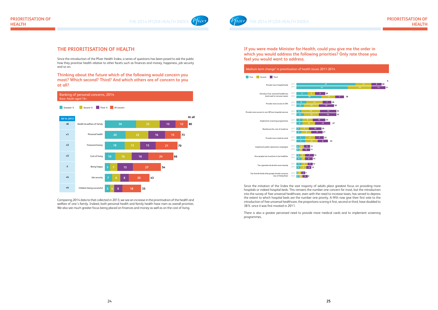

**If you were made Minister for Health, could you give me the order in which you would address the following priorities? Only rate those you feel you would want to address.**

Since the initiation of the Index the vast majority of adults place greatest focus on providing more hospitals or indeed hospital beds. This remains the number one concern for most, but the introduction into the survey of free universal healthcare, even with the need to increase taxes, has served to depress the extent to which hospital beds are the number one priority. A fifth now give their first vote to the introduction of free universal healthcare, the proportions scoring it first, second or third, have doubled to 38% since it was first mooted in 2011.

There is also a greater perceived need to provide more medical cards and to implement screening programmes.

# **THE PRIORITISATION OF HEALTH**

Since the introduction of the Pfizer Health Index, a series of questions has been posed to ask the public how they prioritise health relative to other facets such as finances and money, happiness, job security and so on.

**Thinking about the future which of the following would concern you most? Which second? Third? And which others are of concern to you at all?**

Comparing 2014 data to that collected in 2013, we see an increase in the prioritisation of the health and welfare of one's family. Indeed, both personal health and family health have risen as overall priorities. We also see much greater focus being placed on finances and money as well as on the cost of living.





| $2011 - 2014$  |    |                |    |    |    |    |      |
|----------------|----|----------------|----|----|----|----|------|
|                |    |                |    |    |    |    | $\%$ |
| 47             |    |                |    |    | 13 | 8  | 68   |
| 41             |    |                |    | 19 |    | 11 | 71   |
| 20             |    |                |    |    |    |    |      |
|                | 11 | $\overline{7}$ | 38 |    |    |    |      |
| $\overline{7}$ | 28 |                |    |    |    |    |      |
| 12             | 30 |                |    |    |    |    |      |
| 13             |    | 32             |    |    |    |    |      |
| 14             |    | 32             |    |    |    |    |      |
| 23<br>12       | 27 |                |    |    |    |    |      |
| 20<br>21       |    |                |    |    |    |    |      |
| 22             |    |                |    |    |    |    |      |
| 8              | 25 |                |    |    |    |    |      |
|                |    |                |    |    |    |    |      |
|                |    |                |    |    |    |    |      |
|                |    |                |    |    |    |    |      |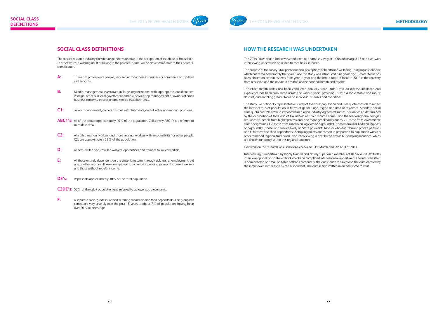# **SOCIAL CLASS DEFINITIONS**

The market research industry classifies respondents relative to the occupation of the Head of Household. In other words, a working adult, still living in the parental home, will be classified relative to their parents' classification.

- **A:** These are professional people, very senior managers in business or commerce or top-level civil servants.
- **B:** Middle management executives in large organisations, with appropriate qualifications. Principal officers in local government and civil service, top management or owners of small business concerns, education and service establishments.
- **C1:** Junior management, owners of small establishments, and all other non-manual positions.
- **ABC1's:** All of the above: approximately 40% of the population. Collectively ABC1's are referred to as middle class.
- **C2:** All skilled manual workers and those manual workers with responsibility for other people. C2s are approximately 22% of the population.
- **D:** All semi-skilled and unskilled workers, apprentices and trainees to skilled workers.
- **E:** All those entirely dependent on the state, long term, through sickness, unemployment, old age or other reasons. Those unemployed for a period exceeding six months, casual workers and those without regular income.
- **DE's:** Represents approximately 30% of the total population.
- **C2DE's:** 52% of the adult population and referred to as lower socio-economic.
- **F:** A separate social grade in Ireland, referring to farmers and their dependents. This group has contracted very severely over the past 15 years to about 7% of population, having been over 20% at one stage.

# **HOW THE RESEARCH WAS UNDERTAKEN**

The 2014 Pfizer Health Index was conducted as a sample survey of 1,004 adults aged 16 and over, with interviewing undertaken on a face-to-face basis, in-home.

The purpose of the survey is to update national perceptions of health and wellbeing, using a questionnaire which has remained broadly the same since the study was introduced nine years ago. Greater focus has been placed on certain aspects from year-to-year and the broad topic in focus in 2014 is the recovery from recession and the impact it has had on the national health and psyche.

The Pfizer Health Index has been conducted annually since 2005. Data on disease incidence and experience has been cumulated across the various years, providing us with a more stable and robust dataset, and enabling greater focus on individual diseases and conditions.

The study is a nationally representative survey of the adult population and uses quota controls to reflect the latest census of population in terms of gender, age, region and area of residence. Standard social class quota controls are also imposed based upon industry agreed estimates. Social class is determined by the occupation of the Head of Household or Chief Income Earner, and the following terminologies are used; AB, people from higher professional and managerial backgrounds; C1, those from lower middle class backgrounds; C2, those from skilled working class backgrounds; D, those from unskilled working class backgrounds; E, those who survive solely on State payments (and/or who don't have a private pension) and F, farmers and their dependants. Sampling points are chosen in proportion to population within a predetermined regional framework, and interviewing is distributed across 63 sampling locations, which are chosen randomly within this regional structure.

Fieldwork on the research was undertaken between 31st March and 9th April of 2014.

Interviewing is undertaken by highly trained and closely supervised members of Behaviour & Attitudes interviewer panel, and detailed back checks on completed interviews are undertaken. The interview itself is administered on small portable netbook computers; the questions are asked and the data entered by the interviewer, rather than by the respondent. The data is transmitted in an encrypted format.